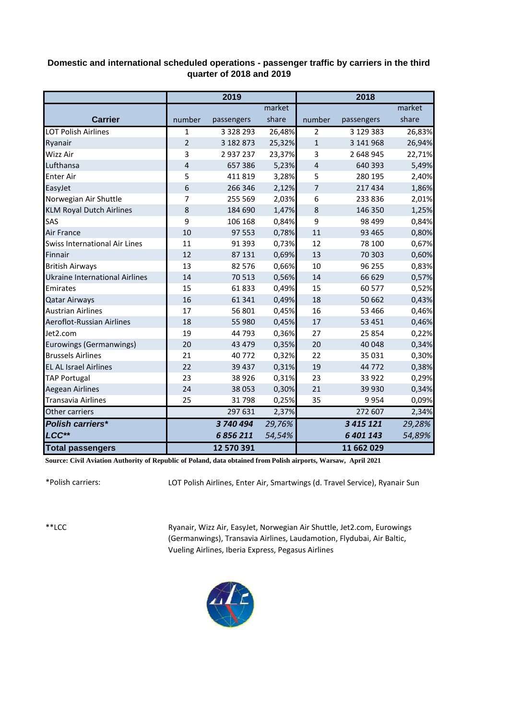## **Domestic and international scheduled operations - passenger traffic by carriers in the third quarter of 2018 and 2019**

|                                       | 2019           |               |        | 2018           |               |        |
|---------------------------------------|----------------|---------------|--------|----------------|---------------|--------|
|                                       |                |               | market |                |               | market |
| <b>Carrier</b>                        | number         | passengers    | share  | number         | passengers    | share  |
| <b>LOT Polish Airlines</b>            | 1              | 3 3 2 8 2 9 3 | 26,48% | $\overline{2}$ | 3 129 383     | 26,83% |
| Ryanair                               | $\overline{2}$ | 3 182 873     | 25,32% | $\mathbf{1}$   | 3 141 968     | 26,94% |
| Wizz Air                              | 3              | 2 9 3 7 2 3 7 | 23,37% | 3              | 2 648 945     | 22,71% |
| Lufthansa                             | $\overline{4}$ | 657 386       | 5,23%  | 4              | 640 393       | 5,49%  |
| <b>Enter Air</b>                      | 5              | 411819        | 3,28%  | 5              | 280 195       | 2,40%  |
| EasyJet                               | 6              | 266 346       | 2,12%  | 7              | 217 434       | 1,86%  |
| Norwegian Air Shuttle                 | 7              | 255 569       | 2,03%  | 6              | 233 836       | 2,01%  |
| <b>KLM Royal Dutch Airlines</b>       | 8              | 184 690       | 1,47%  | 8              | 146 350       | 1,25%  |
| SAS                                   | 9              | 106 168       | 0,84%  | 9              | 98 499        | 0,84%  |
| Air France                            | 10             | 97 553        | 0,78%  | 11             | 93 4 65       | 0,80%  |
| <b>Swiss International Air Lines</b>  | 11             | 91 393        | 0,73%  | 12             | 78 100        | 0,67%  |
| Finnair                               | 12             | 87 131        | 0,69%  | 13             | 70 303        | 0,60%  |
| <b>British Airways</b>                | 13             | 82 576        | 0,66%  | 10             | 96 255        | 0,83%  |
| <b>Ukraine International Airlines</b> | 14             | 70 513        | 0,56%  | 14             | 66 629        | 0,57%  |
| Emirates                              | 15             | 61833         | 0,49%  | 15             | 60 577        | 0,52%  |
| <b>Qatar Airways</b>                  | 16             | 61 341        | 0,49%  | 18             | 50 662        | 0,43%  |
| <b>Austrian Airlines</b>              | 17             | 56 801        | 0,45%  | 16             | 53 4 66       | 0,46%  |
| Aeroflot-Russian Airlines             | 18             | 55 980        | 0,45%  | 17             | 53 451        | 0,46%  |
| Jet2.com                              | 19             | 44 793        | 0,36%  | 27             | 25 854        | 0,22%  |
| <b>Eurowings (Germanwings)</b>        | 20             | 43 479        | 0,35%  | 20             | 40 048        | 0,34%  |
| <b>Brussels Airlines</b>              | 21             | 40772         | 0,32%  | 22             | 35 031        | 0,30%  |
| <b>EL AL Israel Airlines</b>          | 22             | 39 437        | 0,31%  | 19             | 44 772        | 0,38%  |
| <b>TAP Portugal</b>                   | 23             | 38 9 26       | 0,31%  | 23             | 33 922        | 0,29%  |
| <b>Aegean Airlines</b>                | 24             | 38 053        | 0,30%  | 21             | 39 930        | 0,34%  |
| <b>Transavia Airlines</b>             | 25             | 31798         | 0,25%  | 35             | 9954          | 0,09%  |
| Other carriers                        |                | 297 631       | 2,37%  |                | 272 607       | 2,34%  |
| <b>Polish carriers*</b>               |                | 3740494       | 29,76% |                | 3 4 1 5 1 2 1 | 29,28% |
| LCC**                                 |                | 6856211       | 54,54% |                | 6 401 143     | 54,89% |
| <b>Total passengers</b>               |                | 12 570 391    |        |                | 11 662 029    |        |

**Source: Civil Aviation Authority of Republic of Poland, data obtained from Polish airports, Warsaw, April 2021**

\*Polish carriers:

LOT Polish Airlines, Enter Air, Smartwings (d. Travel Service), Ryanair Sun

\*\*LCC

Ryanair, Wizz Air, EasyJet, Norwegian Air Shuttle, Jet2.com, Eurowings (Germanwings), Transavia Airlines, Laudamotion, Flydubai, Air Baltic, Vueling Airlines, Iberia Express, Pegasus Airlines